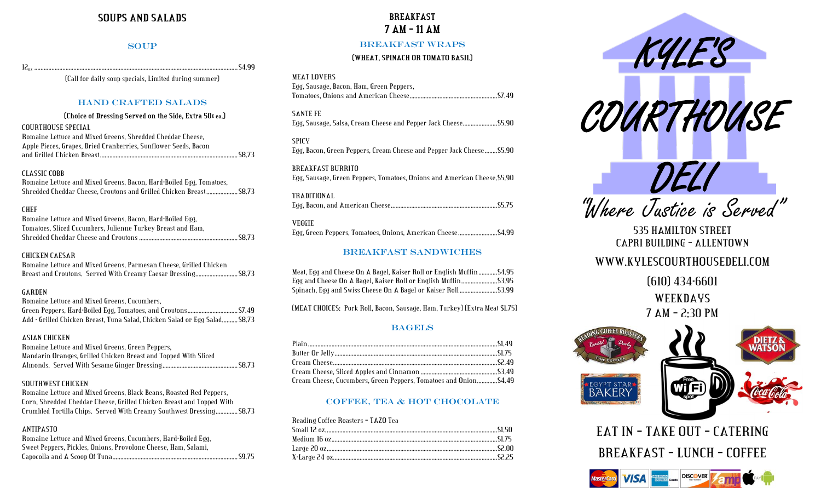# **SOUPS AND SALADS**

### **SOUP**

12oz ..................................................................................................................................\$4.99

(Call for daily soup specials, Limited during summer)

## HAND CRAFTED SALADS

#### **(((Choice of Dressing Served on the Side, Extra 50¢ ea.)**

| COURTHOUSE SPECIAL                                              |  |
|-----------------------------------------------------------------|--|
| Romaine Lettuce and Mixed Greens. Shredded Cheddar Cheese.      |  |
| Apple Pieces, Grapes, Dried Cranberries, Sunflower Seeds, Bacon |  |
|                                                                 |  |

#### CLASSIC COBB

Romaine Lettuce and Mixed Greens, Bacon, Hard-Boiled Egg, Tomatoes, Shredded Cheddar Cheese, Croutons and Grilled Chicken Breast....................\$8.73

#### CHEF

| -Romaine Lettuce and Mixed Greens. Bacon. Hard-Boiled Egg.  |
|-------------------------------------------------------------|
| Tomatoes, Sliced Cucumbers, Julienne Turkey Breast and Ham, |
|                                                             |

### CHICKEN CAESAR

| Romaine Lettuce and Mixed Greens, Parmesan Cheese, Grilled Chicken |  |  |
|--------------------------------------------------------------------|--|--|
| Breast and Croutons. Served With Creamy Caesar Dressing \$8.73     |  |  |

#### GARDEN

| Romaine Lettuce and Mixed Greens. Cucumbers.                               |  |
|----------------------------------------------------------------------------|--|
|                                                                            |  |
| Add - Grilled Chicken Breast, Tuna Salad, Chicken Salad or Egg Salad\$8.73 |  |

#### ASIAN CHICKEN

| Romaine Lettuce and Mixed Greens. Green Peppers.                |  |
|-----------------------------------------------------------------|--|
| Mandarin Oranges, Grilled Chicken Breast and Topped With Sliced |  |
|                                                                 |  |

## SOUTHWEST CHICKEN

Romaine Lettuce and Mixed Greens, Black Beans, Roasted Red Peppers, Corn, Shredded Cheddar Cheese, Grilled Chicken Breast and Topped With Crumbled Tortilla Chips. Served With Creamy Southwest Dressing..............\$8.73

## ANTIPASTO

| Romaine Lettuce and Mixed Greens, Cucumbers, Hard-Boiled Egg.  |  |
|----------------------------------------------------------------|--|
| Sweet Peppers, Pickles, Onions, Provolone Cheese, Ham. Salami. |  |
|                                                                |  |

# **BREAKFAST 7 AM – 11 AM**

## BREAKFAST WRAPS

## **(WHEAT, SPINACH OR TOMATO BASIL)**

#### MEAT LOVERS

| Egg, Sausage, Bacon, Ham, Green Peppers, |  |
|------------------------------------------|--|
|                                          |  |

SANTE FE Egg, Sausage, Salsa, Cream Cheese and Pepper Jack Cheese......................\$5.90

### SPICY

Egg, Bacon, Green Peppers, Cream Cheese and Pepper Jack Cheese........\$5.90

BREAKFAST BURRITO Egg, Sausage, Green Peppers, Tomatoes, Onions and American Cheese.\$5.90

#### TRADITIONAL

## VEGGIE

Egg, Green Peppers, Tomatoes, Onions, American Cheese.........................\$4.99

## BREAKFAST SANDWICHES

| Meat, Egg and Cheese On A Bagel, Kaiser Roll or English Muffin \$4.95 |  |
|-----------------------------------------------------------------------|--|
| Egg and Cheese On A Bagel. Kaiser Roll or English Muffin\$3.95        |  |
| Spinach, Egg and Swiss Cheese On A Bagel or Kaiser Roll \$3.99        |  |

(MEAT CHOICES: Pork Roll, Bacon, Sausage, Ham, Turkey) (Extra Meat \$1.75)

## **BAGELS**

| Cream Cheese, Cucumbers, Green Peppers, Tomatoes and Onion\$4.49 |  |
|------------------------------------------------------------------|--|

## COFFEE, TEA & HOT CHOCOLATE

Reading Coffee Roasters – TAZO Tea



"Where Justice is Served"

535 HAMILTON STREET CAPRI BUILDING – ALLENTOWN WWW.KYLESCOURTHOUSEDELI.COM (610) 434-6601

WEEKDAYS 7 AM – 2:30 PM



EAT IN – TAKE OUT – CATERING BREAKFAST – LUNCH – COFFEE